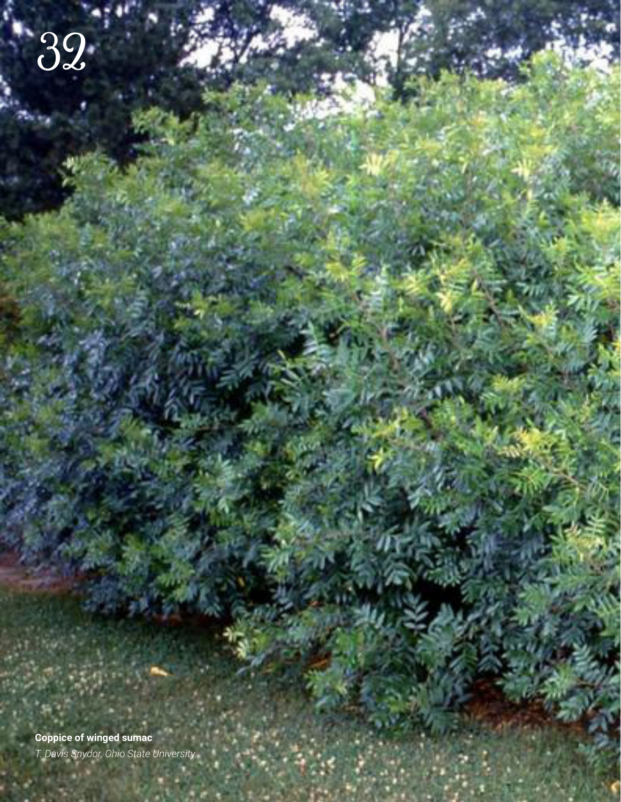**Coppice of winged sumac** *T. Davis Snydor, Ohio State University*

32

Southern **SOIL** 32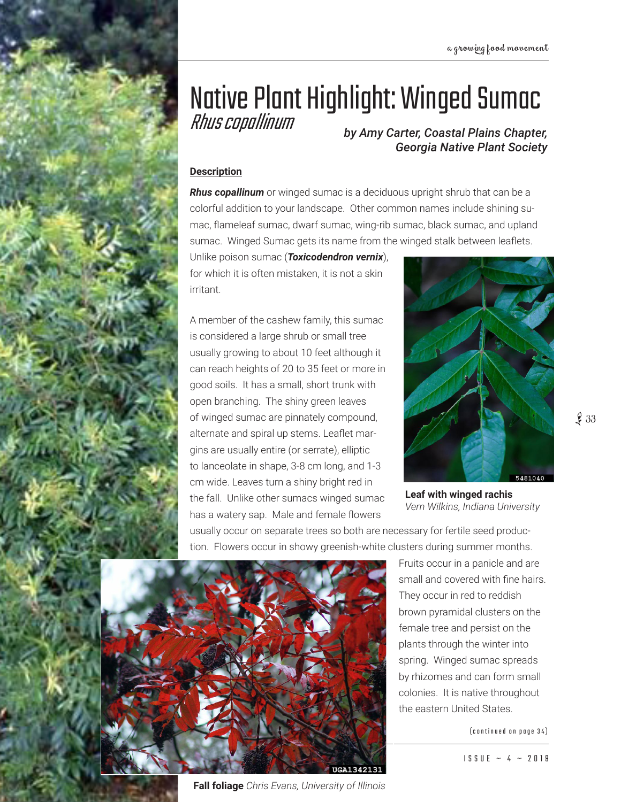# Native Plant Highlight: Winged Sumac<br>Rhus copallinum

**by Amy Carter, Coastal Plains Chapter,** *Georgia Native Plant Society*

## **Description**

*Rhus copallinum* or winged sumac is a deciduous upright shrub that can be a colorful addition to your landscape. Other common names include shining sumac, flameleaf sumac, dwarf sumac, wing-rib sumac, black sumac, and upland sumac. Winged Sumac gets its name from the winged stalk between leaflets.

Unlike poison sumac (*Toxicodendron vernix*), for which it is often mistaken, it is not a skin irritant.

A member of the cashew family, this sumac is considered a large shrub or small tree usually growing to about 10 feet although it can reach heights of 20 to 35 feet or more in good soils. It has a small, short trunk with open branching. The shiny green leaves of winged sumac are pinnately compound, alternate and spiral up stems. Leaflet margins are usually entire (or serrate), elliptic to lanceolate in shape, 3-8 cm long, and 1-3 cm wide. Leaves turn a shiny bright red in the fall. Unlike other sumacs winged sumac has a watery sap. Male and female flowers



**Leaf with winged rachis** *Vern Wilkins, Indiana University*

usually occur on separate trees so both are necessary for fertile seed production. Flowers occur in showy greenish-white clusters during summer months.



**Fall foliage** *Chris Evans, University of Illinois*

Fruits occur in a panicle and are small and covered with fine hairs. They occur in red to reddish brown pyramidal clusters on the female tree and persist on the plants through the winter into spring. Winged sumac spreads by rhizomes and can form small colonies. It is native throughout the eastern United States.

(continued on page 34)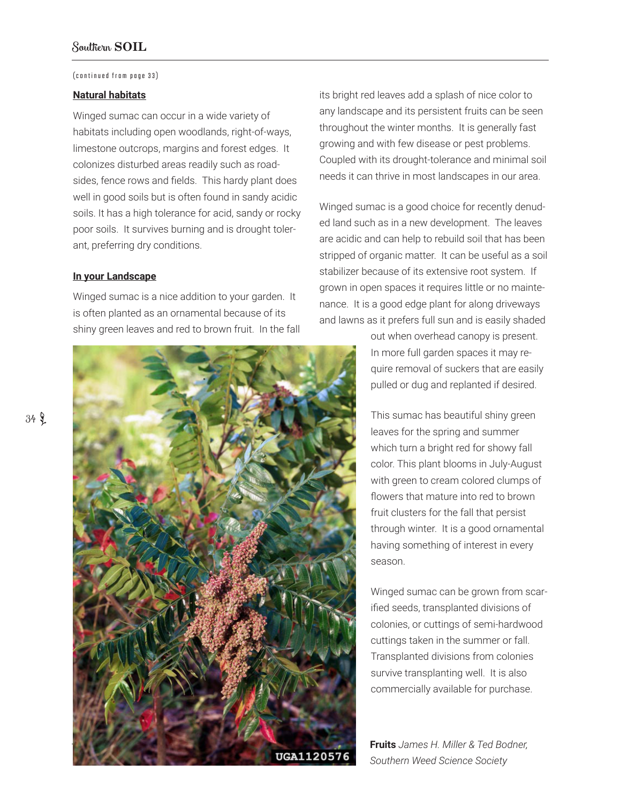#### (continued from page 33)

### **Natural habitats**

Winged sumac can occur in a wide variety of habitats including open woodlands, right-of-ways, limestone outcrops, margins and forest edges. It colonizes disturbed areas readily such as roadsides, fence rows and fields. This hardy plant does well in good soils but is often found in sandy acidic soils. It has a high tolerance for acid, sandy or rocky poor soils. It survives burning and is drought tolerant, preferring dry conditions.

#### **In your Landscape**

Winged sumac is a nice addition to your garden. It is often planted as an ornamental because of its shiny green leaves and red to brown fruit. In the fall



its bright red leaves add a splash of nice color to any landscape and its persistent fruits can be seen throughout the winter months. It is generally fast growing and with few disease or pest problems. Coupled with its drought-tolerance and minimal soil needs it can thrive in most landscapes in our area.

Winged sumac is a good choice for recently denuded land such as in a new development. The leaves are acidic and can help to rebuild soil that has been stripped of organic matter. It can be useful as a soil stabilizer because of its extensive root system. If grown in open spaces it requires little or no maintenance. It is a good edge plant for along driveways and lawns as it prefers full sun and is easily shaded

> out when overhead canopy is present. In more full garden spaces it may require removal of suckers that are easily pulled or dug and replanted if desired.

> This sumac has beautiful shiny green leaves for the spring and summer which turn a bright red for showy fall color. This plant blooms in July-August with green to cream colored clumps of flowers that mature into red to brown fruit clusters for the fall that persist through winter. It is a good ornamental having something of interest in every season.

Winged sumac can be grown from scarified seeds, transplanted divisions of colonies, or cuttings of semi-hardwood cuttings taken in the summer or fall. Transplanted divisions from colonies survive transplanting well. It is also commercially available for purchase.

**Fruits** *James H. Miller & Ted Bodner, Southern Weed Science Society*